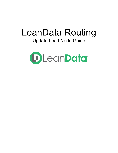# LeanData Routing

## Update Lead Node Guide

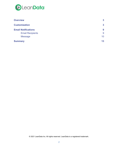

| <b>Overview</b>            | $\mathbf{3}$    |
|----------------------------|-----------------|
| <b>Customization</b>       | $\mathbf{3}$    |
| <b>Email Notifications</b> | 9               |
| <b>Email Recipients</b>    | 9               |
| <b>Message</b>             | 10 <sup>°</sup> |
| <b>Summary</b>             | 13              |

© 2021 LeanData Inc. All rights reserved. LeanData is a registered trademark.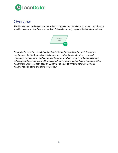

## <span id="page-2-0"></span>**Overview**

The Update Lead Node gives you the ability to populate 1 or more fields on a Lead record with a specific value or a value from another field. This node can only populate fields that are editable.



*Example: David is the LeanData administrator for Lighthouse Development. One of the requirements for the Router flow is to be able to report on Leads after they are routed. Lighthouse Development needs to be able to report on which Leads have been assigned to sales reps and which ones are still unassigned. David adds a custom field to the Leads called Assignment Status. He then adds an Update Lead Node to fill in the field with the value Assigned to Rep at the end of the Router flow.*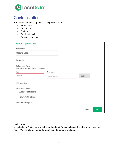

## <span id="page-3-0"></span>**Customization**

You have a number of options to configure the node.

- Node Name
- Description
- Options
- Email Notifications
- Advanced Settings

| <b>Action - Update Lead</b>                                            |             |               |                   |
|------------------------------------------------------------------------|-------------|---------------|-------------------|
| Node Name                                                              |             |               |                   |
| Update Lead                                                            |             |               |                   |
| Description $\rightarrow$                                              |             |               |                   |
| <b>Update Lead Fields</b><br>Specify lead fields and values to update. |             |               |                   |
| Field                                                                  | New Value   |               |                   |
| Search<br>$\sim$                                                       | Enter Value | Insert $\sim$ | $\qquad \qquad -$ |
| Add field<br>$^{+}$                                                    |             |               |                   |
| <b>Email Notifications</b>                                             |             |               |                   |
| <b>Success Notifications</b>                                           |             |               |                   |
| <b>Failure Notifications</b>                                           |             |               |                   |
| Advanced Settings >                                                    |             |               |                   |
|                                                                        |             | Cancel        | <b>OK</b>         |

#### **Node Name**

By default, the Node Name is set to Update Lead. You can change this label to anything you need. We strongly recommend giving this node a meaningful name.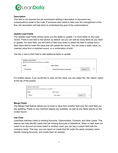

#### **Description**

This field is not required but we recommend adding a description to document any customizations made to the node. If someone else needs to take over the management of the flow, the description will help them to understand the goal of the customizations.

#### **Update Lead Fields**

The Update Lead Fields section gives you the ability to update 1 or more fields on the Lead record. There is one field in the section by default, but you can add as many fields as you need to update. For each field, you will have a Field drop-down to select the field to update and a New Value field to enter the value that will update the record. You can enter a static value, an inserted value from a matched record, or a combination of both.

Use the **+** next to Add Field to add additional fields to update.

| <b>Update Lead Fields</b><br>Specify lead fields and values to update. |                         |               |                          |
|------------------------------------------------------------------------|-------------------------|---------------|--------------------------|
| Field                                                                  | New Value               |               |                          |
| Company<br>$\sim$                                                      | {!matched lead.company} | Insert $\vee$ | $\overline{\phantom{0}}$ |
|                                                                        |                         |               |                          |

For picklist values, if you would like to clear out the value, you can select the <No Value> option at the top of the picklist.

| <b>Update Lead Fields</b><br>Specify lead fields and values to update. (?) |              |              |              |               |                          |
|----------------------------------------------------------------------------|--------------|--------------|--------------|---------------|--------------------------|
| Field                                                                      |              | New Value    |              |               |                          |
| Status                                                                     | $\checkmark$ | < No Value > | $\checkmark$ | Insert $\vee$ | $\overline{\phantom{0}}$ |

#### **Merge Fields**

The Merge Field feature allows you to insert a value from another field onto the Lead field you are updating. Fields on any matched objects are available, as well as any fields directly on the routed record.

#### **Use Case**

LeanData matches Leads to existing Accounts, Opportunities, Contacts, and other Leads. This feature can help identify Leads that are missing Accounts in Salesforce. When a Lead does not match to an Account but does match to another Lead, you can tag a custom field with the company name. This way, you can report on Leads that fall under the same company name, identify missing Accounts, and create them as needed.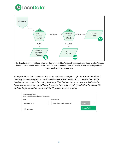



In the flow above, the routed Lead is first checked for a matching Account. If it does not match to an existing Account, the Lead is checked for related Leads. Then the Lead's Company name is updated, making it easy to group the related Leads together for reporting.

*Example: Kevin has discovered that some leads are coming through the Router flow without matching to an existing Account but they do have related leads. Kevin creates a field on the Lead record, Account to Be. Using the Merge Field feature, he can update this field with the Company name from a related Lead. David can then run a report, based off of the Account to Be field, to group related Leads and identify Accounts to be created.*

| <b>Update Lead Fields</b><br>Specify lead fields and values to update. |                         |                     |
|------------------------------------------------------------------------|-------------------------|---------------------|
| Field                                                                  | New Value               |                     |
| Account to Be<br>$\sim$                                                | {!matched lead.company} | (—<br>Insert $\vee$ |
| Add field                                                              |                         | <b>Merge Fields</b> |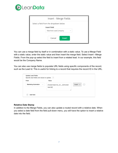

| Insert - Merge Fields                                                                            |
|--------------------------------------------------------------------------------------------------|
| Select a field from the dropdown below.<br><b>Insert Field</b><br>Matched Lead.Company<br>$\sim$ |
| Cancel<br><b>Insert</b>                                                                          |

You can use a merge field by itself or in combination with a static value. To use a Merge Field with a static value, enter the static value and then insert the merge field. Select Insert→Merge Fields. From the pop-up select the field to insert from a related lead. In our example, this field would be the Company Name.

You can also use merge fields to populate URL fields using specific components of the record, such as the Lead Id. This is useful for linking to a record that requires the record ID in the URL.

| <b>Field</b>                                | Value                                                                                                                       |  |
|---------------------------------------------|-----------------------------------------------------------------------------------------------------------------------------|--|
| <b>Marketing Automation</b><br>$\checkmark$ | Insert $\sim$<br>$\hspace{0.1mm}-\hspace{0.1mm}$<br>{!routed lead.ma_url_c}/{!routed<br>lead.id<br>$\overline{\phantom{a}}$ |  |

#### **Relative Date Stamp**

In addition to the Merge Fields, you can also update a routed record with a relative date. When you select a date field from the field pull-down menu, you will have the option to insert a relative date into the field.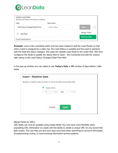

| <b>Update Lead Fields</b><br>Specify lead fields and values to update. |             |                                                  |
|------------------------------------------------------------------------|-------------|--------------------------------------------------|
| Field                                                                  | New Value   |                                                  |
| Lead Status Changed Date/Time $\backsim$                               | Enter Value | Insert $\sim$<br>$\hspace{0.1mm}-\hspace{0.1mm}$ |
| Add field                                                              |             | Merge Fields                                     |
| <b>Email Notifications</b>                                             |             | <b>Relative Date</b>                             |

*Example: Lana is the LeanData admin and has been tasked to edit the Lead Router so that when a lead is assigned to a sales rep, the Lead Status is updated and the Lead is stamped with the Date the status changed. She adds the Update Lead Node to the router flow. She then configures the Node to update the Status field to Open - Not Contacted and add the relative date stamp to the Lead Status Changed Date/Time field.*

In the pop-up window you can select to use **Today's Date** or **XX** number of days before / after today.

| <b>Insert - Relative Date</b>                                      |             |                               |  |
|--------------------------------------------------------------------|-------------|-------------------------------|--|
| Specify a relative date to insert in the Email Bounced Date field. |             |                               |  |
|                                                                    | Today (Now) |                               |  |
|                                                                    | $\vert$ 1   | Day(s)   After $\sim$   Today |  |
|                                                                    |             |                               |  |
|                                                                    |             |                               |  |
|                                                                    | Cancel      | <b>Insert</b>                 |  |
|                                                                    |             |                               |  |

Merge Fields for URLs

URL fields can now be updated using merge fields! You now have more flexibility when populating URL information on Leads with the ability to create a unique URL for any record that gets routed. This can help you and your reps save time when searching for account information, troubleshooting routing, or synchronizing information across systems.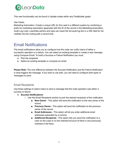

This new functionality can be found in Update nodes within any FlowBuilder graph.

#### Use Cases

Marketing Automation: Create a unique URL for the Lead in a different system by combining a prefix for marketing automation appended with the ID of the record in the Marketing Automation. Audit Log Links: LeanData admins and reps can insert the full audit log link in a URL field for full visibility into the routing path a record took.

## <span id="page-8-0"></span>Email Notifications

The email notifications allow you to configure how the node can notify Users of either a successful operation or a failure. You can select an existing template or create a new message using Compose Email. To build a Success or Failure Notification you must:

- Pick the recipients
- Select an existing template or compose an email

**Please Note:** The only difference between the Success Notification and the Failure Notification is what triggers the message. If you wish to use both, you will need to configure both types of messages to send.

### <span id="page-8-1"></span>Email Recipients

Use these settings to select Users to send a message that the node operation was either a success or failure:

- **Success Notifications:**
	- Use the Email Recipients section to pick the desired recipients of the notification.
		- **New Owner** This option will send the notification to the new owner of the record.
		- **Previous Owner** This option will send the notification to the previous owner of the record.
		- **Email Addresses** This option will let you enter additional email addresses separated by a comma.
		- **Additional Recipients** This option lets you send the notification to a User on the Lead or on the matched Account (if there is one previously matched in the flow).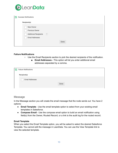

| Success Notifications                                                                 |      |
|---------------------------------------------------------------------------------------|------|
| Recipient(s)                                                                          |      |
| New Owner<br>Previous Owner<br>(2)<br><b>Additional Recipients</b><br>Email Addresses |      |
|                                                                                       | Done |

#### **Failure Notifications**

- Use the Email Recipients section to pick the desired recipients of the notification.
	- **Email Addresses -** This option will let you enter additional email addresses separated by a comma.

| <b>Failure Notifications</b> |  |
|------------------------------|--|
| Recipient(s)                 |  |
| <b>Email Addresses</b>       |  |
| Done                         |  |

#### <span id="page-9-0"></span>Message

In the Message section you will create the email message that the node sends out. You have 2 options:

- **Email Template** Use the email template option to select from your existing email templates in Salesforce.
- **Compose Email** Use the compose email option to build an email notification using field(s) from the Owner, Routed Record, or a link to the audit log for the routed record.

#### **Email Template**

When you select the Email Template option, you will be asked to select the desired Salesforce Template. You cannot edit the message in LeanData. You can use the View Template link to view the selected template.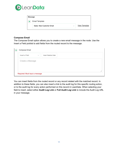

| Message |                           |        |                      |  |
|---------|---------------------------|--------|----------------------|--|
|         | Email Template            |        |                      |  |
|         | Sales: New Customer Email | $\sim$ | <b>View Template</b> |  |
|         |                           |        |                      |  |

#### **Compose Email**

The Compose Email option allows you to create a new email message in the node. Use the Insert a Field picklist to add fields from the routed record to the message.

| Compose Email    |        |                      |  |
|------------------|--------|----------------------|--|
| Insert a Field   | $\sim$ | Insert Relative Date |  |
| Create a Message |        |                      |  |
|                  |        |                      |  |

You can insert fields from the routed record or any record related with the matched record. In addition to these fields, you can also insert a link to the audit log for this specific routing action, or to the audit log for every action performed on this record in LeanData. When selecting your field to insert, select either **Audit Log Link** or **Full Audit Log Link** to include the Audit Log URL in your message.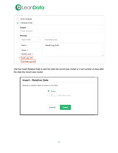

| <b>Email Template</b>          |                                   |
|--------------------------------|-----------------------------------|
| Compose Email<br>$\bullet$     |                                   |
| <b>Subject</b>                 |                                   |
| <b>Enter Subject</b>           |                                   |
| <b>Message</b>                 |                                   |
| Insert a Field<br>$\checkmark$ | <b>Insert Relative Date</b>       |
| Object »                       | <audit.log.full></audit.log.full> |
| Owner ▶                        |                                   |
| Routed Lead ▶                  |                                   |
| Audit Log Link<br>F            |                                   |
| Full Audit Log Link            |                                   |

Use the Insert Relative Date to add the date the record was routed or a set number of days after the date the record was routed.

| <b>Insert - Relative Date</b>                   |                                       |  |  |  |
|-------------------------------------------------|---------------------------------------|--|--|--|
| Specify a relative date to insert in the field. |                                       |  |  |  |
|                                                 | Today<br>∙<br>( )<br>days after today |  |  |  |
|                                                 | Cancel<br><b>Insert</b>               |  |  |  |